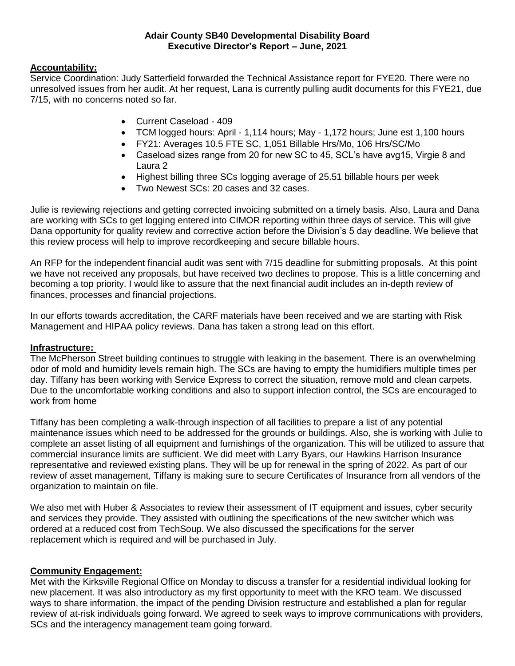### **Adair County SB40 Developmental Disability Board Executive Director's Report – June, 2021**

# **Accountability:**

Service Coordination: Judy Satterfield forwarded the Technical Assistance report for FYE20. There were no unresolved issues from her audit. At her request, Lana is currently pulling audit documents for this FYE21, due 7/15, with no concerns noted so far.

- Current Caseload 409
- TCM logged hours: April 1,114 hours; May 1,172 hours; June est 1,100 hours
- FY21: Averages 10.5 FTE SC, 1,051 Billable Hrs/Mo, 106 Hrs/SC/Mo
- Caseload sizes range from 20 for new SC to 45, SCL's have avg15, Virgie 8 and Laura 2
- Highest billing three SCs logging average of 25.51 billable hours per week
- Two Newest SCs: 20 cases and 32 cases.

Julie is reviewing rejections and getting corrected invoicing submitted on a timely basis. Also, Laura and Dana are working with SCs to get logging entered into CIMOR reporting within three days of service. This will give Dana opportunity for quality review and corrective action before the Division's 5 day deadline. We believe that this review process will help to improve recordkeeping and secure billable hours.

An RFP for the independent financial audit was sent with 7/15 deadline for submitting proposals. At this point we have not received any proposals, but have received two declines to propose. This is a little concerning and becoming a top priority. I would like to assure that the next financial audit includes an in-depth review of finances, processes and financial projections.

In our efforts towards accreditation, the CARF materials have been received and we are starting with Risk Management and HIPAA policy reviews. Dana has taken a strong lead on this effort.

### **Infrastructure:**

The McPherson Street building continues to struggle with leaking in the basement. There is an overwhelming odor of mold and humidity levels remain high. The SCs are having to empty the humidifiers multiple times per day. Tiffany has been working with Service Express to correct the situation, remove mold and clean carpets. Due to the uncomfortable working conditions and also to support infection control, the SCs are encouraged to work from home

Tiffany has been completing a walk-through inspection of all facilities to prepare a list of any potential maintenance issues which need to be addressed for the grounds or buildings. Also, she is working with Julie to complete an asset listing of all equipment and furnishings of the organization. This will be utilized to assure that commercial insurance limits are sufficient. We did meet with Larry Byars, our Hawkins Harrison Insurance representative and reviewed existing plans. They will be up for renewal in the spring of 2022. As part of our review of asset management, Tiffany is making sure to secure Certificates of Insurance from all vendors of the organization to maintain on file.

We also met with Huber & Associates to review their assessment of IT equipment and issues, cyber security and services they provide. They assisted with outlining the specifications of the new switcher which was ordered at a reduced cost from TechSoup. We also discussed the specifications for the server replacement which is required and will be purchased in July.

### **Community Engagement:**

Met with the Kirksville Regional Office on Monday to discuss a transfer for a residential individual looking for new placement. It was also introductory as my first opportunity to meet with the KRO team. We discussed ways to share information, the impact of the pending Division restructure and established a plan for regular review of at-risk individuals going forward. We agreed to seek ways to improve communications with providers, SCs and the interagency management team going forward.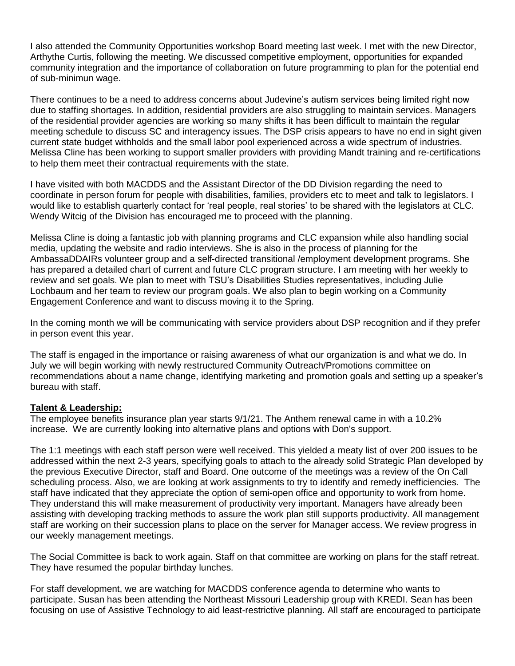I also attended the Community Opportunities workshop Board meeting last week. I met with the new Director, Arthythe Curtis, following the meeting. We discussed competitive employment, opportunities for expanded community integration and the importance of collaboration on future programming to plan for the potential end of sub-minimun wage.

There continues to be a need to address concerns about Judevine's autism services being limited right now due to staffing shortages. In addition, residential providers are also struggling to maintain services. Managers of the residential provider agencies are working so many shifts it has been difficult to maintain the regular meeting schedule to discuss SC and interagency issues. The DSP crisis appears to have no end in sight given current state budget withholds and the small labor pool experienced across a wide spectrum of industries. Melissa Cline has been working to support smaller providers with providing Mandt training and re-certifications to help them meet their contractual requirements with the state.

I have visited with both MACDDS and the Assistant Director of the DD Division regarding the need to coordinate in person forum for people with disabilities, families, providers etc to meet and talk to legislators. I would like to establish quarterly contact for 'real people, real stories' to be shared with the legislators at CLC. Wendy Witcig of the Division has encouraged me to proceed with the planning.

Melissa Cline is doing a fantastic job with planning programs and CLC expansion while also handling social media, updating the website and radio interviews. She is also in the process of planning for the AmbassaDDAIRs volunteer group and a self-directed transitional /employment development programs. She has prepared a detailed chart of current and future CLC program structure. I am meeting with her weekly to review and set goals. We plan to meet with TSU's Disabilities Studies representatives, including Julie Lochbaum and her team to review our program goals. We also plan to begin working on a Community Engagement Conference and want to discuss moving it to the Spring.

In the coming month we will be communicating with service providers about DSP recognition and if they prefer in person event this year.

The staff is engaged in the importance or raising awareness of what our organization is and what we do. In July we will begin working with newly restructured Community Outreach/Promotions committee on recommendations about a name change, identifying marketing and promotion goals and setting up a speaker's bureau with staff.

### **Talent & Leadership:**

The employee benefits insurance plan year starts 9/1/21. The Anthem renewal came in with a 10.2% increase. We are currently looking into alternative plans and options with Don's support.

The 1:1 meetings with each staff person were well received. This yielded a meaty list of over 200 issues to be addressed within the next 2-3 years, specifying goals to attach to the already solid Strategic Plan developed by the previous Executive Director, staff and Board. One outcome of the meetings was a review of the On Call scheduling process. Also, we are looking at work assignments to try to identify and remedy inefficiencies. The staff have indicated that they appreciate the option of semi-open office and opportunity to work from home. They understand this will make measurement of productivity very important. Managers have already been assisting with developing tracking methods to assure the work plan still supports productivity. All management staff are working on their succession plans to place on the server for Manager access. We review progress in our weekly management meetings.

The Social Committee is back to work again. Staff on that committee are working on plans for the staff retreat. They have resumed the popular birthday lunches.

For staff development, we are watching for MACDDS conference agenda to determine who wants to participate. Susan has been attending the Northeast Missouri Leadership group with KREDI. Sean has been focusing on use of Assistive Technology to aid least-restrictive planning. All staff are encouraged to participate